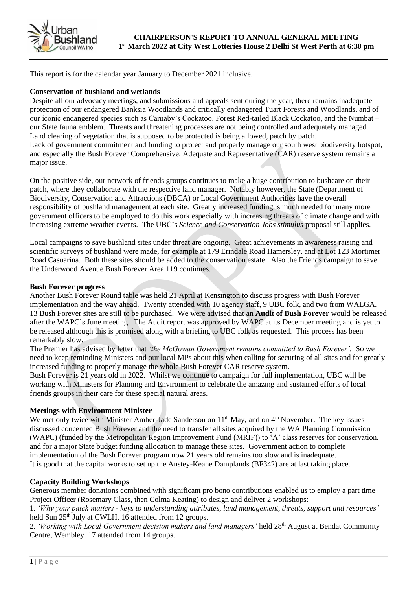

This report is for the calendar year January to December 2021 inclusive.

#### **Conservation of bushland and wetlands**

Despite all our advocacy meetings, and submissions and appeals sent during the year, there remains inadequate protection of our endangered Banksia Woodlands and critically endangered Tuart Forests and Woodlands, and of our iconic endangered species such as Carnaby's Cockatoo, Forest Red-tailed Black Cockatoo, and the Numbat – our State fauna emblem. Threats and threatening processes are not being controlled and adequately managed. Land clearing of vegetation that is supposed to be protected is being allowed, patch by patch. Lack of government commitment and funding to protect and properly manage our south west biodiversity hotspot, and especially the Bush Forever Comprehensive, Adequate and Representative (CAR) reserve system remains a major issue.

On the positive side, our network of friends groups continues to make a huge contribution to bushcare on their patch, where they collaborate with the respective land manager. Notably however, the State (Department of Biodiversity, Conservation and Attractions (DBCA) or Local Government Authorities have the overall responsibility of bushland management at each site. Greatly increased funding is much needed for many more government officers to be employed to do this work especially with increasing threats of climate change and with increasing extreme weather events. The UBC's *Science and Conservation Jobs stimulus* proposal still applies.

Local campaigns to save bushland sites under threat are ongoing. Great achievements in awareness raising and scientific surveys of bushland were made, for example at 179 Erindale Road Hamersley, and at Lot 123 Mortimer Road Casuarina. Both these sites should be added to the conservation estate. Also the Friends campaign to save the Underwood Avenue Bush Forever Area 119 continues.

#### **Bush Forever progress**

Another Bush Forever Round table was held 21 April at Kensington to discuss progress with Bush Forever implementation and the way ahead. Twenty attended with 10 agency staff, 9 UBC folk, and two from WALGA. 13 Bush Forever sites are still to be purchased. We were advised that an **Audit of Bush Forever** would be released after the WAPC's June meeting. The Audit report was approved by WAPC at its December meeting and is yet to be released although this is promised along with a briefing to UBC folk as requested. This process has been remarkably slow.

The Premier has advised by letter that *'the McGowan Government remains committed to Bush Forever'.* So we need to keep reminding Ministers and our local MPs about this when calling for securing of all sites and for greatly increased funding to properly manage the whole Bush Forever CAR reserve system.

Bush Forever is 21 years old in 2022. Whilst we continue to campaign for full implementation, UBC will be working with Ministers for Planning and Environment to celebrate the amazing and sustained efforts of local friends groups in their care for these special natural areas.

#### **Meetings with Environment Minister**

We met only twice with Minister Amber-Jade Sanderson on 11<sup>th</sup> May, and on 4<sup>th</sup> November. The key issues discussed concerned Bush Forever and the need to transfer all sites acquired by the WA Planning Commission (WAPC) (funded by the Metropolitan Region Improvement Fund (MRIF)) to 'A' class reserves for conservation, and for a major State budget funding allocation to manage these sites. Government action to complete implementation of the Bush Forever program now 21 years old remains too slow and is inadequate. It is good that the capital works to set up the Anstey-Keane Damplands (BF342) are at last taking place.

### **Capacity Building Workshops**

Generous member donations combined with significant pro bono contributions enabled us to employ a part time Project Officer (Rosemary Glass, then Colma Keating) to design and deliver 2 workshops:

1*. 'Why your patch matters - keys to understanding attributes, land management, threats, support and resources'*  held Sun 25<sup>th</sup> July at CWLH, 16 attended from 12 groups.

2. *'Working with Local Government decision makers and land managers'* held 28th August at Bendat Community Centre, Wembley. 17 attended from 14 groups.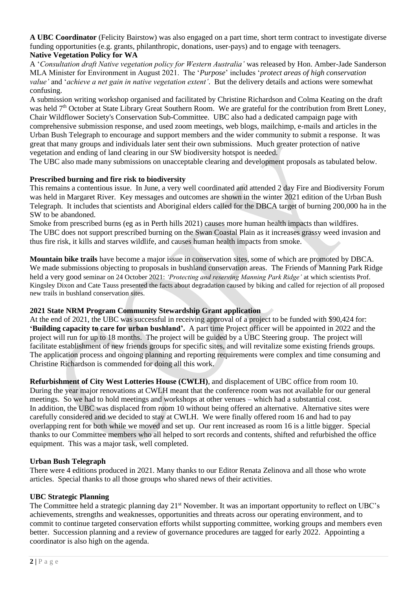**A UBC Coordinator** (Felicity Bairstow) was also engaged on a part time, short term contract to investigate diverse funding opportunities (e.g. grants, philanthropic, donations, user-pays) and to engage with teenagers. **Native Vegetation Policy for WA**

A '*Consultation draft Native vegetation policy for Western Australia'* was released by Hon. Amber-Jade Sanderson MLA Minister for Environment in August 2021. The '*Purpose*' includes '*protect areas of high conservation value'* and '*achieve a net gain in native vegetation extent'*. But the delivery details and actions were somewhat confusing.

A submission writing workshop organised and facilitated by Christine Richardson and Colma Keating on the draft was held  $7<sup>th</sup>$  October at State Library Great Southern Room. We are grateful for the contribution from Brett Loney, Chair Wildflower Society's Conservation Sub-Committee. UBC also had a dedicated campaign page with comprehensive submission response, and used zoom meetings, web blogs, mailchimp, e-mails and articles in the Urban Bush Telegraph to encourage and support members and the wider community to submit a response. It was great that many groups and individuals later sent their own submissions. Much greater protection of native vegetation and ending of land clearing in our SW biodiversity hotspot is needed.

The UBC also made many submissions on unacceptable clearing and development proposals as tabulated below.

### **Prescribed burning and fire risk to biodiversity**

This remains a contentious issue. In June, a very well coordinated and attended 2 day Fire and Biodiversity Forum was held in Margaret River. Key messages and outcomes are shown in the winter 2021 edition of the Urban Bush Telegraph. It includes that scientists and Aboriginal elders called for the DBCA target of burning 200,000 ha in the SW to be abandoned.

Smoke from prescribed burns (eg as in Perth hills 2021) causes more human health impacts than wildfires. The UBC does not support prescribed burning on the Swan Coastal Plain as it increases grassy weed invasion and thus fire risk, it kills and starves wildlife, and causes human health impacts from smoke.

**Mountain bike trails** have become a major issue in conservation sites, some of which are promoted by DBCA. We made submissions objecting to proposals in bushland conservation areas. The Friends of Manning Park Ridge held a very good seminar on 24 October 2021: *'Protecting and reserving Manning Park Ridge'* at which scientists Prof. Kingsley Dixon and Cate Tauss presented the facts about degradation caused by biking and called for rejection of all proposed new trails in bushland conservation sites.

### **2021 State NRM Program Community Stewardship Grant application**

At the end of 2021, the UBC was successful in receiving approval of a project to be funded with \$90,424 for: **'Building capacity to care for urban bushland'.** A part time Project officer will be appointed in 2022 and the project will run for up to 18 months. The project will be guided by a UBC Steering group. The project will facilitate establishment of new friends groups for specific sites, and will revitalize some existing friends groups. The application process and ongoing planning and reporting requirements were complex and time consuming and Christine Richardson is commended for doing all this work.

**Refurbishment of City West Lotteries House (CWLH)**, and displacement of UBC office from room 10. During the year major renovations at CWLH meant that the conference room was not available for our general meetings. So we had to hold meetings and workshops at other venues – which had a substantial cost. In addition, the UBC was displaced from room 10 without being offered an alternative. Alternative sites were carefully considered and we decided to stay at CWLH. We were finally offered room 16 and had to pay overlapping rent for both while we moved and set up. Our rent increased as room 16 is a little bigger. Special thanks to our Committee members who all helped to sort records and contents, shifted and refurbished the office equipment. This was a major task, well completed.

### **Urban Bush Telegraph**

There were 4 editions produced in 2021. Many thanks to our Editor Renata Zelinova and all those who wrote articles.Special thanks to all those groups who shared news of their activities.

# **UBC Strategic Planning**

The Committee held a strategic planning day 21<sup>st</sup> November. It was an important opportunity to reflect on UBC's achievements, strengths and weaknesses, opportunities and threats across our operating environment, and to commit to continue targeted conservation efforts whilst supporting committee, working groups and members even better. Succession planning and a review of governance procedures are tagged for early 2022. Appointing a coordinator is also high on the agenda.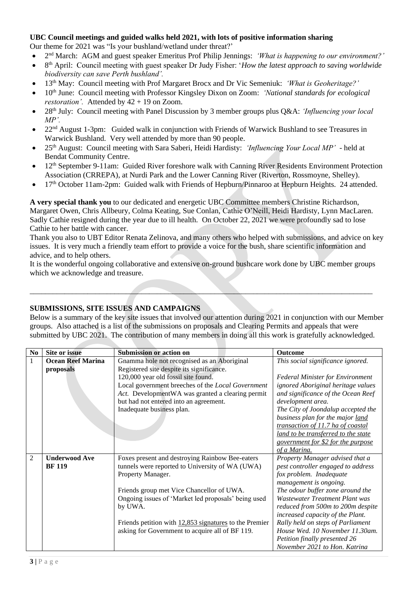# **UBC Council meetings and guided walks held 2021, with lots of positive information sharing**

Our theme for 2021 was "Is your bushland/wetland under threat?'

- 2<sup>nd</sup> March: AGM and guest speaker Emeritus Prof Philip Jennings: *'What is happening to our environment?'*
- 8 th April: Council meeting with guest speaker Dr Judy Fisher: '*How the latest approach to saving worldwide biodiversity can save Perth bushland'.*
- 13th May: Council meeting with Prof Margaret Brocx and Dr Vic Semeniuk: *'What is Geoheritage?'*
- 10th June: Council meeting with Professor Kingsley Dixon on Zoom: *'National standards for ecological restoration'.* Attended by 42 + 19 on Zoom.
- 28th July: Council meeting with Panel Discussion by 3 member groups plus Q&A: *'Influencing your local MP'.*
- 22<sup>nd</sup> August 1-3pm: Guided walk in conjunction with Friends of Warwick Bushland to see Treasures in Warwick Bushland. Very well attended by more than 90 people.
- 25th August: Council meeting with Sara Saberi, Heidi Hardisty: *'Influencing Your Local MP'*  held at Bendat Community Centre.
- 12<sup>th</sup> September 9-11am: Guided River foreshore walk with Canning River Residents Environment Protection Association (CRREPA), at Nurdi Park and the Lower Canning River (Riverton, Rossmoyne, Shelley).
- 17<sup>th</sup> October 11am-2pm: Guided walk with Friends of Hepburn/Pinnaroo at Hepburn Heights. 24 attended.

**A very special thank you** to our dedicated and energetic UBC Committee members Christine Richardson, Margaret Owen, Chris Allbeury, Colma Keating, Sue Conlan, Cathie O'Neill, Heidi Hardisty, Lynn MacLaren. Sadly Cathie resigned during the year due to ill health. On October 22, 2021 we were profoundly sad to lose Cathie to her battle with cancer.

Thank you also to UBT Editor Renata Zelinova, and many others who helped with submissions, and advice on key issues. It is very much a friendly team effort to provide a voice for the bush, share scientific information and advice, and to help others.

It is the wonderful ongoing collaborative and extensive on-ground bushcare work done by UBC member groups which we acknowledge and treasure.

 $\mathcal{L} = \{ \mathcal{L} \mid \mathcal{L} \in \mathcal{L} \}$  , where  $\mathcal{L} = \{ \mathcal{L} \mid \mathcal{L} \in \mathcal{L} \}$  , where  $\mathcal{L} = \{ \mathcal{L} \mid \mathcal{L} \in \mathcal{L} \}$ 

# **SUBMISSIONS, SITE ISSUES AND CAMPAIGNS**

Below is a summary of the key site issues that involved our attention during 2021 in conjunction with our Member groups. Also attached is a list of the submissions on proposals and Clearing Permits and appeals that were submitted by UBC 2021. The contribution of many members in doing all this work is gratefully acknowledged.

| N <sub>0</sub> | Site or issue            | <b>Submission or action on</b>                           | <b>Outcome</b>                          |
|----------------|--------------------------|----------------------------------------------------------|-----------------------------------------|
|                | <b>Ocean Reef Marina</b> | Gnamma hole not recognised as an Aboriginal              | This social significance ignored.       |
|                | proposals                | Registered site despite its significance.                |                                         |
|                |                          | 120,000 year old fossil site found.                      | <b>Federal Minister for Environment</b> |
|                |                          | Local government breeches of the Local Government        | ignored Aboriginal heritage values      |
|                |                          | Act. DevelopmentWA was granted a clearing permit         | and significance of the Ocean Reef      |
|                |                          | but had not entered into an agreement.                   | development area.                       |
|                |                          | Inadequate business plan.                                | The City of Joondalup accepted the      |
|                |                          |                                                          | business plan for the major land        |
|                |                          |                                                          | transaction of 11.7 ha of coastal       |
|                |                          |                                                          | land to be transferred to the state     |
|                |                          |                                                          | government for \$2 for the purpose      |
|                |                          |                                                          | of a Marina.                            |
| $\overline{2}$ | <b>Underwood Ave</b>     | Foxes present and destroying Rainbow Bee-eaters          | Property Manager advised that a         |
|                | <b>BF</b> 119            | tunnels were reported to University of WA (UWA)          | pest controller engaged to address      |
|                |                          | Property Manager.                                        | fox problem. Inadequate                 |
|                |                          |                                                          | management is ongoing.                  |
|                |                          | Friends group met Vice Chancellor of UWA.                | The odour buffer zone around the        |
|                |                          | Ongoing issues of 'Market led proposals' being used      | <b>Wastewater Treatment Plant was</b>   |
|                |                          | by UWA.                                                  | reduced from 500m to 200m despite       |
|                |                          |                                                          | increased capacity of the Plant.        |
|                |                          | Friends petition with $12,853$ signatures to the Premier | Rally held on steps of Parliament       |
|                |                          | asking for Government to acquire all of BF 119.          | House Wed. 10 November 11.30am.         |
|                |                          |                                                          | Petition finally presented 26           |
|                |                          |                                                          | November 2021 to Hon. Katrina           |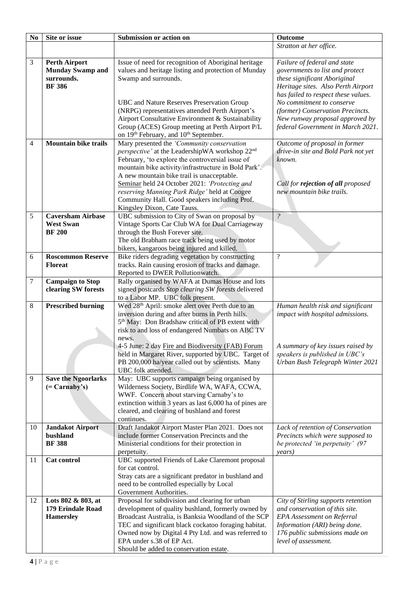| N <sub>0</sub> | Site or issue               | Submission or action on                                      | Outcome                             |
|----------------|-----------------------------|--------------------------------------------------------------|-------------------------------------|
|                |                             |                                                              | Stratton at her office.             |
|                |                             |                                                              |                                     |
| $\mathfrak{Z}$ | <b>Perth Airport</b>        | Issue of need for recognition of Aboriginal heritage         | Failure of federal and state        |
|                | <b>Munday Swamp and</b>     | values and heritage listing and protection of Munday         | governments to list and protect     |
|                | surrounds.                  | Swamp and surrounds.                                         | these significant Aboriginal        |
|                | <b>BF</b> 386               |                                                              | Heritage sites. Also Perth Airport  |
|                |                             |                                                              | has failed to respect these values. |
|                |                             | UBC and Nature Reserves Preservation Group                   | No commitment to conserve           |
|                |                             | (NRPG) representatives attended Perth Airport's              | (former) Conservation Precincts.    |
|                |                             | Airport Consultative Environment & Sustainability            | New runway proposal approved by     |
|                |                             | Group (ACES) Group meeting at Perth Airport P/L              | federal Government in March 2021.   |
|                |                             | on 19th February, and 10th September.                        |                                     |
| 4              | <b>Mountain bike trails</b> | Mary presented the 'Community conservation                   | Outcome of proposal in former       |
|                |                             | perspective' at the LeadershipWA workshop 22 <sup>nd</sup>   | drive-in site and Bold Park not yet |
|                |                             | February, 'to explore the controversial issue of             | known.                              |
|                |                             | mountain bike activity/infrastructure in Bold Park'.         |                                     |
|                |                             | A new mountain bike trail is unacceptable.                   |                                     |
|                |                             | Seminar held 24 October 2021: 'Protecting and                | Call for rejection of all proposed  |
|                |                             | reserving Manning Park Ridge' held at Coogee                 | new mountain bike trails.           |
|                |                             | Community Hall. Good speakers including Prof.                |                                     |
|                |                             | Kingsley Dixon, Cate Tauss.                                  |                                     |
| 5              | <b>Caversham Airbase</b>    | UBC submission to City of Swan on proposal by                | $\overline{\mathcal{E}}$            |
|                | <b>West Swan</b>            | Vintage Sports Car Club WA for Dual Carriageway              |                                     |
|                | <b>BF</b> 200               | through the Bush Forever site.                               |                                     |
|                |                             | The old Brabham race track being used by motor               |                                     |
|                |                             | bikers, kangaroos being injured and killed.                  |                                     |
| 6              | <b>Roscommon Reserve</b>    | Bike riders degrading vegetation by constructing             | $\overline{\mathcal{L}}$            |
|                | <b>Floreat</b>              | tracks. Rain causing erosion of tracks and damage.           |                                     |
|                |                             | Reported to DWER Pollutionwatch.                             |                                     |
| 7              | <b>Campaign to Stop</b>     | Rally organised by WAFA at Dumas House and lots              |                                     |
|                | clearing SW forests         | signed postcards Stop clearing SW forests delivered          |                                     |
|                |                             | to a Labor MP. UBC folk present.                             |                                     |
| 8              | <b>Prescribed burning</b>   | Wed 28 <sup>th</sup> April: smoke alert over Perth due to an | Human health risk and significant   |
|                |                             | inversion during and after burns in Perth hills.             | impact with hospital admissions.    |
|                |                             | 5 <sup>th</sup> May: Don Bradshaw critical of PB extent with |                                     |
|                |                             | risk to and loss of endangered Numbats on ABC TV             |                                     |
|                |                             | news.                                                        |                                     |
|                |                             | 4-5 June: 2 day Fire and Biodiversity (FAB) Forum            | A summary of key issues raised by   |
|                |                             | held in Margaret River, supported by UBC. Target of          | speakers is published in UBC's      |
|                |                             | PB 200,000 ha/year called out by scientists. Many            | Urban Bush Telegraph Winter 2021    |
|                |                             | UBC folk attended.                                           |                                     |
| 9              | <b>Save the Ngoorlarks</b>  | May: UBC supports campaign being organised by                |                                     |
|                | $( = Carnaby's)$            | Wilderness Society, Birdlife WA, WAFA, CCWA,                 |                                     |
|                |                             | WWF. Concern about starving Carnaby's to                     |                                     |
|                |                             | extinction within 3 years as last 6,000 ha of pines are      |                                     |
|                |                             | cleared, and clearing of bushland and forest                 |                                     |
|                |                             | continues.                                                   |                                     |
| 10             | <b>Jandakot Airport</b>     | Draft Jandakot Airport Master Plan 2021. Does not            | Lack of retention of Conservation   |
|                | bushland                    | include former Conservation Precincts and the                | Precincts which were supposed to    |
|                | <b>BF</b> 388               | Ministerial conditions for their protection in               | be protected 'in perpetuity' (97    |
|                |                             | perpetuity.                                                  | years)                              |
| 11             | Cat control                 | UBC supported Friends of Lake Claremont proposal             |                                     |
|                |                             | for cat control.                                             |                                     |
|                |                             | Stray cats are a significant predator in bushland and        |                                     |
|                |                             | need to be controlled especially by Local                    |                                     |
|                |                             | Government Authorities.                                      |                                     |
| 12             | Lots 802 & 803, at          | Proposal for subdivision and clearing for urban              | City of Stirling supports retention |
|                | 179 Erindale Road           | development of quality bushland, formerly owned by           | and conservation of this site.      |
|                | <b>Hamersley</b>            | Broadcast Australia, is Banksia Woodland of the SCP          | <b>EPA</b> Assessment on Referral   |
|                |                             | TEC and significant black cockatoo foraging habitat.         | Information (ARI) being done.       |
|                |                             | Owned now by Digital 4 Pty Ltd. and was referred to          | 176 public submissions made on      |
|                |                             | EPA under s.38 of EP Act.                                    | level of assessment.                |
|                |                             | Should be added to conservation estate.                      |                                     |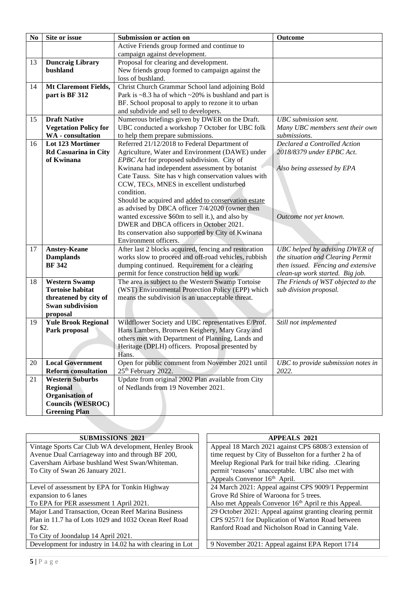| N <sub>0</sub> | Site or issue                | Submission or action on                                                        | Outcome                            |
|----------------|------------------------------|--------------------------------------------------------------------------------|------------------------------------|
|                |                              | Active Friends group formed and continue to                                    |                                    |
|                |                              | campaign against development.                                                  |                                    |
| 13             | <b>Duncraig Library</b>      | Proposal for clearing and development.                                         |                                    |
|                | bushland                     | New friends group formed to campaign against the                               |                                    |
|                |                              | loss of bushland.                                                              |                                    |
| 14             | <b>Mt Claremont Fields,</b>  | Christ Church Grammar School land adjoining Bold                               |                                    |
|                | part is BF 312               | Park is $\sim$ 8.3 ha of which $\sim$ 20% is bushland and part is              |                                    |
|                |                              | BF. School proposal to apply to rezone it to urban                             |                                    |
|                |                              | and subdivide and sell to developers.                                          |                                    |
| 15             | <b>Draft Native</b>          | Numerous briefings given by DWER on the Draft.                                 | <b>UBC</b> submission sent.        |
|                | <b>Vegetation Policy for</b> | UBC conducted a workshop 7 October for UBC folk                                | Many UBC members sent their own    |
|                | <b>WA</b> - consultation     | to help them prepare submissions.                                              | submissions.                       |
| 16             | Lot 123 Mortimer             | Referred 21/12/2018 to Federal Department of                                   | Declared a Controlled Action       |
|                | <b>Rd Casuarina in City</b>  | Agriculture, Water and Environment (DAWE) under                                | 2018/8379 under EPBC Act.          |
|                | of Kwinana                   | EPBC Act for proposed subdivision. City of                                     |                                    |
|                |                              | Kwinana had independent assessment by botanist                                 | Also being assessed by EPA         |
|                |                              | Cate Tauss. Site has v high conservation values with                           |                                    |
|                |                              | CCW, TECs, MNES in excellent undisturbed                                       |                                    |
|                |                              | condition.                                                                     |                                    |
|                |                              | Should be acquired and added to conservation estate                            |                                    |
|                |                              | as advised by DBCA officer 7/4/2020 (owner then                                |                                    |
|                |                              | wanted excessive \$60m to sell it.), and also by                               | Outcome not yet known.             |
|                |                              | DWER and DBCA officers in October 2021.                                        |                                    |
|                |                              | Its conservation also supported by City of Kwinana                             |                                    |
| 17             | <b>Anstey-Keane</b>          | Environment officers.<br>After last 2 blocks acquired, fencing and restoration | UBC helped by advising DWER of     |
|                | <b>Damplands</b>             | works slow to proceed and off-road vehicles, rubbish                           | the situation and Clearing Permit  |
|                | <b>BF</b> 342                | dumping continued. Requirement for a clearing                                  | then issued. Fencing and extensive |
|                |                              | permit for fence construction held up work.                                    | clean-up work started. Big job.    |
| 18             | <b>Western Swamp</b>         | The area is subject to the Western Swamp Tortoise                              | The Friends of WST objected to the |
|                | <b>Tortoise habitat</b>      | (WST) Environmental Protection Policy (EPP) which                              | sub division proposal.             |
|                | threatened by city of        | means the subdivision is an unacceptable threat.                               |                                    |
|                | <b>Swan subdivision</b>      |                                                                                |                                    |
|                | proposal                     |                                                                                |                                    |
| 19             | <b>Yule Brook Regional</b>   | Wildflower Society and UBC representatives E/Prof.                             | Still not implemented              |
|                | Park proposal                | Hans Lambers, Bronwen Keighery, Mary Gray and                                  |                                    |
|                |                              | others met with Department of Planning, Lands and                              |                                    |
|                |                              | Heritage (DPLH) officers. Proposal presented by                                |                                    |
|                |                              | Hans.                                                                          |                                    |
| 20             | <b>Local Government</b>      | Open for public comment from November 2021 until                               | UBC to provide submission notes in |
|                | <b>Reform consultation</b>   | 25 <sup>th</sup> February 2022.                                                | 2022.                              |
| 21             | <b>Western Suburbs</b>       | Update from original 2002 Plan available from City                             |                                    |
|                | <b>Regional</b>              | of Nedlands from 19 November 2021.                                             |                                    |
|                | <b>Organisation of</b>       |                                                                                |                                    |
|                | <b>Councils (WESROC)</b>     |                                                                                |                                    |
|                | <b>Greening Plan</b>         |                                                                                |                                    |
|                |                              |                                                                                |                                    |
|                |                              |                                                                                |                                    |

| <b>SUBMISSIONS 2021</b>                                   | <b>APPEALS 2021</b>                                              |
|-----------------------------------------------------------|------------------------------------------------------------------|
| Vintage Sports Car Club WA development, Henley Brook      | Appeal 18 March 2021 against CPS 6808/3 extension of             |
| Avenue Dual Carriageway into and through BF 200,          | time request by City of Busselton for a further 2 ha of          |
| Caversham Airbase bushland West Swan/Whiteman.            | Meelup Regional Park for trail bike riding. .Clearing            |
| To City of Swan 26 January 2021.                          | permit 'reasons' unacceptable. UBC also met with                 |
|                                                           | Appeals Convenor 16 <sup>th</sup> April.                         |
| Level of assessment by EPA for Tonkin Highway             | 24 March 2021: Appeal against CPS 9009/1 Peppermint              |
| expansion to 6 lanes                                      | Grove Rd Shire of Waroona for 5 trees.                           |
| To EPA for PER assessment 1 April 2021.                   | Also met Appeals Convenor 16 <sup>th</sup> April re this Appeal. |
| Major Land Transaction, Ocean Reef Marina Business        | 29 October 2021: Appeal against granting clearing permit         |
| Plan in 11.7 ha of Lots 1029 and 1032 Ocean Reef Road     | CPS 9257/1 for Duplication of Warton Road between                |
| for $$2.$                                                 | Ranford Road and Nicholson Road in Canning Vale.                 |
| To City of Joondalup 14 April 2021.                       |                                                                  |
| Development for industry in 14.02 ha with clearing in Lot | 9 November 2021: Appeal against EPA Report 1714                  |
|                                                           |                                                                  |